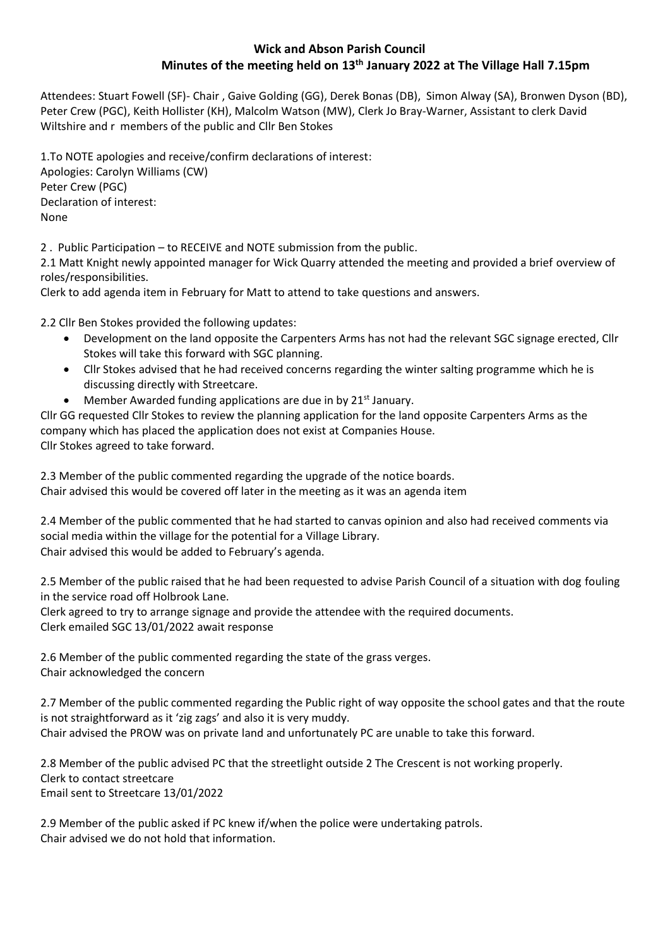# **Wick and Abson Parish Council Minutes of the meeting held on 13th January 2022 at The Village Hall 7.15pm**

Attendees: Stuart Fowell (SF)- Chair , Gaive Golding (GG), Derek Bonas (DB), Simon Alway (SA), Bronwen Dyson (BD), Peter Crew (PGC), Keith Hollister (KH), Malcolm Watson (MW), Clerk Jo Bray-Warner, Assistant to clerk David Wiltshire and r members of the public and Cllr Ben Stokes

1.To NOTE apologies and receive/confirm declarations of interest: Apologies: Carolyn Williams (CW) Peter Crew (PGC) Declaration of interest: None

2 . Public Participation – to RECEIVE and NOTE submission from the public.

2.1 Matt Knight newly appointed manager for Wick Quarry attended the meeting and provided a brief overview of roles/responsibilities.

Clerk to add agenda item in February for Matt to attend to take questions and answers.

2.2 Cllr Ben Stokes provided the following updates:

- Development on the land opposite the Carpenters Arms has not had the relevant SGC signage erected, Cllr Stokes will take this forward with SGC planning.
- Cllr Stokes advised that he had received concerns regarding the winter salting programme which he is discussing directly with Streetcare.
- Member Awarded funding applications are due in by 21<sup>st</sup> January.

Cllr GG requested Cllr Stokes to review the planning application for the land opposite Carpenters Arms as the company which has placed the application does not exist at Companies House. Cllr Stokes agreed to take forward.

2.3 Member of the public commented regarding the upgrade of the notice boards. Chair advised this would be covered off later in the meeting as it was an agenda item

2.4 Member of the public commented that he had started to canvas opinion and also had received comments via social media within the village for the potential for a Village Library. Chair advised this would be added to February's agenda.

2.5 Member of the public raised that he had been requested to advise Parish Council of a situation with dog fouling in the service road off Holbrook Lane.

Clerk agreed to try to arrange signage and provide the attendee with the required documents. Clerk emailed SGC 13/01/2022 await response

2.6 Member of the public commented regarding the state of the grass verges. Chair acknowledged the concern

2.7 Member of the public commented regarding the Public right of way opposite the school gates and that the route is not straightforward as it 'zig zags' and also it is very muddy. Chair advised the PROW was on private land and unfortunately PC are unable to take this forward.

2.8 Member of the public advised PC that the streetlight outside 2 The Crescent is not working properly. Clerk to contact streetcare Email sent to Streetcare 13/01/2022

2.9 Member of the public asked if PC knew if/when the police were undertaking patrols. Chair advised we do not hold that information.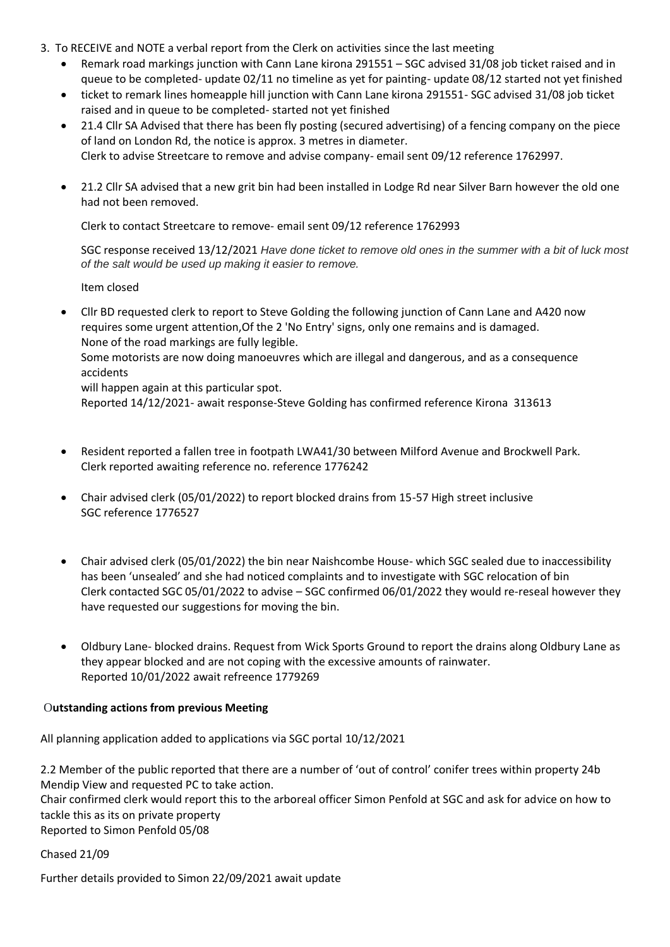- 3. To RECEIVE and NOTE a verbal report from the Clerk on activities since the last meeting
	- Remark road markings junction with Cann Lane kirona 291551 SGC advised 31/08 job ticket raised and in queue to be completed- update 02/11 no timeline as yet for painting- update 08/12 started not yet finished
	- ticket to remark lines homeapple hill junction with Cann Lane kirona 291551- SGC advised 31/08 job ticket raised and in queue to be completed- started not yet finished
	- 21.4 Cllr SA Advised that there has been fly posting (secured advertising) of a fencing company on the piece of land on London Rd, the notice is approx. 3 metres in diameter. Clerk to advise Streetcare to remove and advise company- email sent 09/12 reference 1762997.
	- 21.2 Cllr SA advised that a new grit bin had been installed in Lodge Rd near Silver Barn however the old one had not been removed.

Clerk to contact Streetcare to remove- email sent 09/12 reference 1762993

SGC response received 13/12/2021 *Have done ticket to remove old ones in the summer with a bit of luck most of the salt would be used up making it easier to remove.*

Item closed

• Cllr BD requested clerk to report to Steve Golding the following junction of Cann Lane and A420 now requires some urgent attention,Of the 2 'No Entry' signs, only one remains and is damaged. None of the road markings are fully legible.

Some motorists are now doing manoeuvres which are illegal and dangerous, and as a consequence accidents

will happen again at this particular spot.

Reported 14/12/2021- await response-Steve Golding has confirmed reference Kirona 313613

- Resident reported a fallen tree in footpath LWA41/30 between Milford Avenue and Brockwell Park. Clerk reported awaiting reference no. reference 1776242
- Chair advised clerk (05/01/2022) to report blocked drains from 15-57 High street inclusive SGC reference 1776527
- Chair advised clerk (05/01/2022) the bin near Naishcombe House- which SGC sealed due to inaccessibility has been 'unsealed' and she had noticed complaints and to investigate with SGC relocation of bin Clerk contacted SGC 05/01/2022 to advise – SGC confirmed 06/01/2022 they would re-reseal however they have requested our suggestions for moving the bin.
- Oldbury Lane- blocked drains. Request from Wick Sports Ground to report the drains along Oldbury Lane as they appear blocked and are not coping with the excessive amounts of rainwater. Reported 10/01/2022 await refreence 1779269

### O**utstanding actions from previous Meeting**

All planning application added to applications via SGC portal 10/12/2021

2.2 Member of the public reported that there are a number of 'out of control' conifer trees within property 24b Mendip View and requested PC to take action. Chair confirmed clerk would report this to the arboreal officer Simon Penfold at SGC and ask for advice on how to tackle this as its on private property Reported to Simon Penfold 05/08

Chased 21/09

Further details provided to Simon 22/09/2021 await update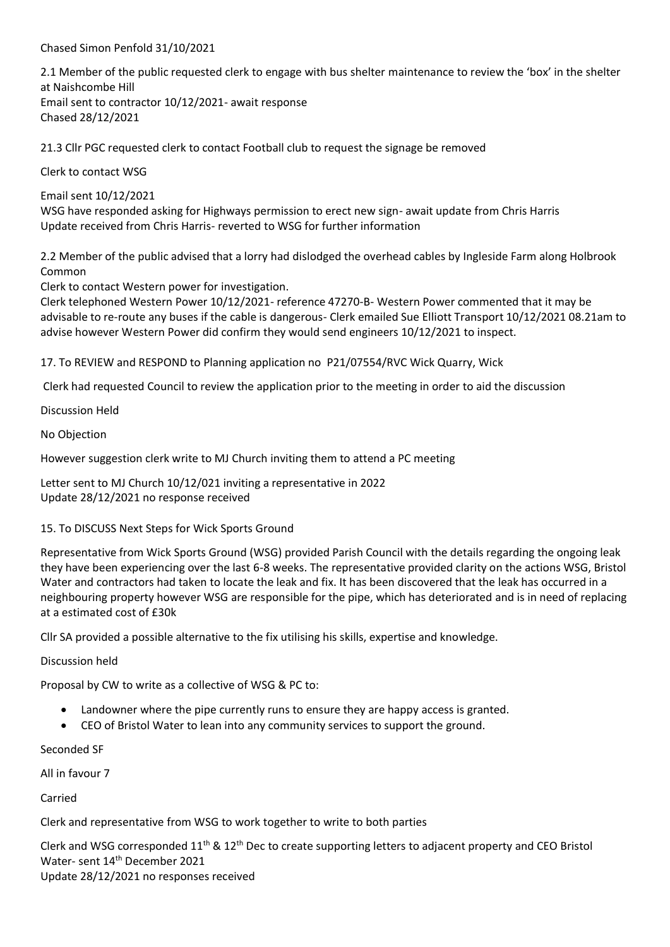Chased Simon Penfold 31/10/2021

2.1 Member of the public requested clerk to engage with bus shelter maintenance to review the 'box' in the shelter at Naishcombe Hill Email sent to contractor 10/12/2021- await response Chased 28/12/2021

21.3 Cllr PGC requested clerk to contact Football club to request the signage be removed

Clerk to contact WSG

Email sent 10/12/2021

WSG have responded asking for Highways permission to erect new sign- await update from Chris Harris Update received from Chris Harris- reverted to WSG for further information

2.2 Member of the public advised that a lorry had dislodged the overhead cables by Ingleside Farm along Holbrook Common

Clerk to contact Western power for investigation.

Clerk telephoned Western Power 10/12/2021- reference 47270-B- Western Power commented that it may be advisable to re-route any buses if the cable is dangerous- Clerk emailed Sue Elliott Transport 10/12/2021 08.21am to advise however Western Power did confirm they would send engineers 10/12/2021 to inspect.

17. To REVIEW and RESPOND to Planning application no P21/07554/RVC Wick Quarry, Wick

Clerk had requested Council to review the application prior to the meeting in order to aid the discussion

Discussion Held

No Objection

However suggestion clerk write to MJ Church inviting them to attend a PC meeting

Letter sent to MJ Church 10/12/021 inviting a representative in 2022 Update 28/12/2021 no response received

## 15. To DISCUSS Next Steps for Wick Sports Ground

Representative from Wick Sports Ground (WSG) provided Parish Council with the details regarding the ongoing leak they have been experiencing over the last 6-8 weeks. The representative provided clarity on the actions WSG, Bristol Water and contractors had taken to locate the leak and fix. It has been discovered that the leak has occurred in a neighbouring property however WSG are responsible for the pipe, which has deteriorated and is in need of replacing at a estimated cost of £30k

Cllr SA provided a possible alternative to the fix utilising his skills, expertise and knowledge.

Discussion held

Proposal by CW to write as a collective of WSG & PC to:

- Landowner where the pipe currently runs to ensure they are happy access is granted.
- CEO of Bristol Water to lean into any community services to support the ground.

Seconded SF

All in favour 7

Carried

Clerk and representative from WSG to work together to write to both parties

Clerk and WSG corresponded 11<sup>th</sup> & 12<sup>th</sup> Dec to create supporting letters to adjacent property and CEO Bristol Water- sent 14<sup>th</sup> December 2021 Update 28/12/2021 no responses received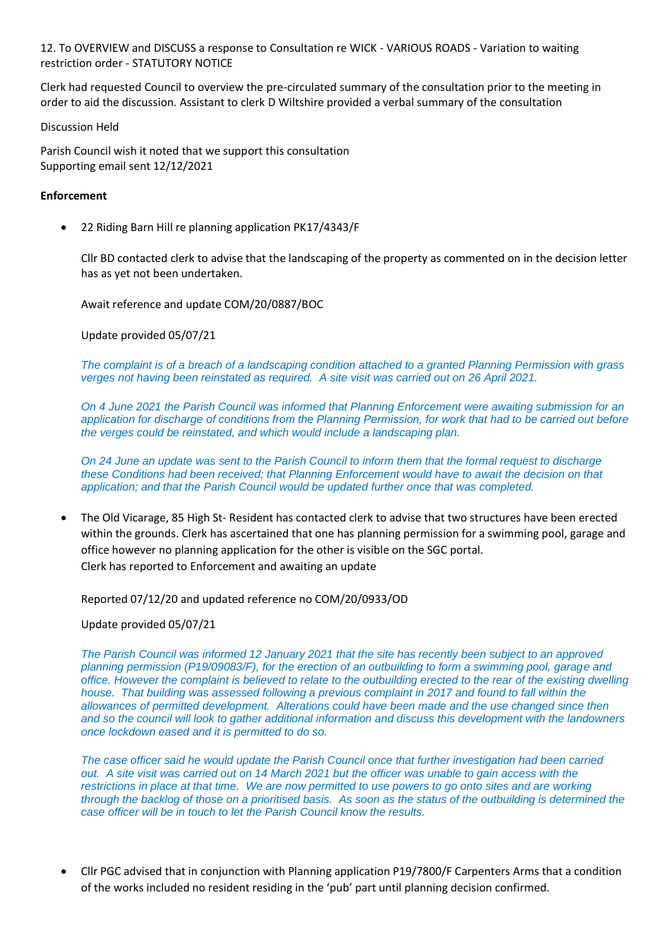12. To OVERVIEW and DISCUSS a response to Consultation re WICK - VARIOUS ROADS - [Variation to waiting](https://consultations.southglos.gov.uk/PT.7110WickWR/consultationHome)  restriction order - [STATUTORY NOTICE](https://consultations.southglos.gov.uk/PT.7110WickWR/consultationHome)

Clerk had requested Council to overview the pre-circulated summary of the consultation prior to the meeting in order to aid the discussion. Assistant to clerk D Wiltshire provided a verbal summary of the consultation

Discussion Held

Parish Council wish it noted that we support this consultation Supporting email sent 12/12/2021

## **Enforcement**

• 22 Riding Barn Hill re planning application PK17/4343/F

Cllr BD contacted clerk to advise that the landscaping of the property as commented on in the decision letter has as yet not been undertaken.

Await reference and update COM/20/0887/BOC

Update provided 05/07/21

*The complaint is of a breach of a landscaping condition attached to a granted Planning Permission with grass verges not having been reinstated as required. A site visit was carried out on 26 April 2021.*

*On 4 June 2021 the Parish Council was informed that Planning Enforcement were awaiting submission for an application for discharge of conditions from the Planning Permission, for work that had to be carried out before the verges could be reinstated, and which would include a landscaping plan.*

*On 24 June an update was sent to the Parish Council to inform them that the formal request to discharge these Conditions had been received; that Planning Enforcement would have to await the decision on that application; and that the Parish Council would be updated further once that was completed.*

• The Old Vicarage, 85 High St- Resident has contacted clerk to advise that two structures have been erected within the grounds. Clerk has ascertained that one has planning permission for a swimming pool, garage and office however no planning application for the other is visible on the SGC portal. Clerk has reported to Enforcement and awaiting an update

### Reported 07/12/20 and updated reference no COM/20/0933/OD

Update provided 05/07/21

*The Parish Council was informed 12 January 2021 that the site has recently been subject to an approved planning permission (P19/09083/F), for the erection of an outbuilding to form a swimming pool, garage and office. However the complaint is believed to relate to the outbuilding erected to the rear of the existing dwelling house. That building was assessed following a previous complaint in 2017 and found to fall within the allowances of permitted development. Alterations could have been made and the use changed since then and so the council will look to gather additional information and discuss this development with the landowners once lockdown eased and it is permitted to do so.*

*The case officer said he would update the Parish Council once that further investigation had been carried out. A site visit was carried out on 14 March 2021 but the officer was unable to gain access with the restrictions in place at that time. We are now permitted to use powers to go onto sites and are working through the backlog of those on a prioritised basis. As soon as the status of the outbuilding is determined the case officer will be in touch to let the Parish Council know the results.*

• Cllr PGC advised that in conjunction with Planning application P19/7800/F Carpenters Arms that a condition of the works included no resident residing in the 'pub' part until planning decision confirmed.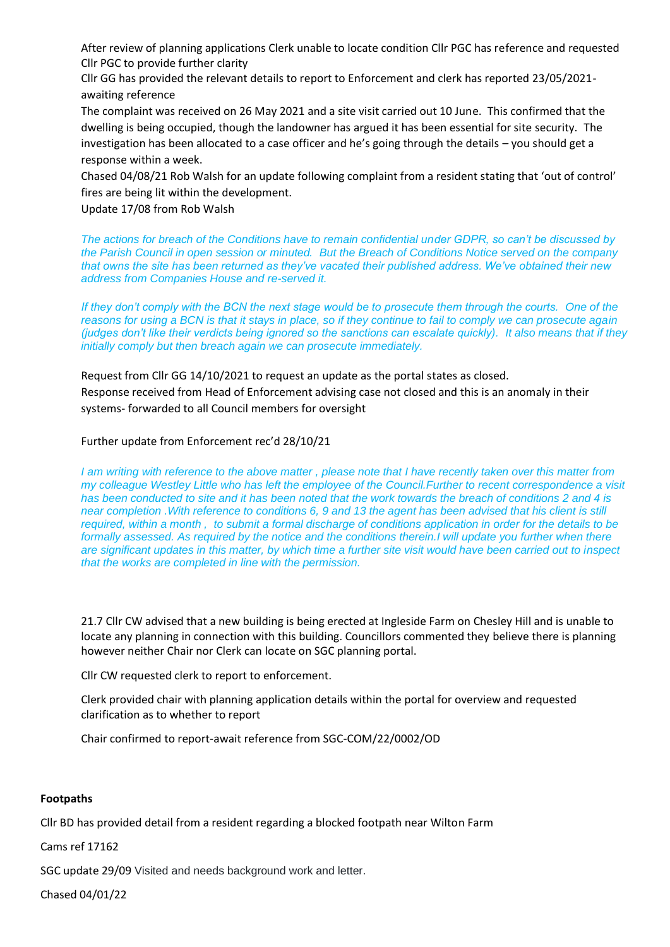After review of planning applications Clerk unable to locate condition Cllr PGC has reference and requested Cllr PGC to provide further clarity

Cllr GG has provided the relevant details to report to Enforcement and clerk has reported 23/05/2021 awaiting reference

The complaint was received on 26 May 2021 and a site visit carried out 10 June. This confirmed that the dwelling is being occupied, though the landowner has argued it has been essential for site security. The investigation has been allocated to a case officer and he's going through the details – you should get a response within a week.

Chased 04/08/21 Rob Walsh for an update following complaint from a resident stating that 'out of control' fires are being lit within the development.

Update 17/08 from Rob Walsh

*The actions for breach of the Conditions have to remain confidential under GDPR, so can't be discussed by the Parish Council in open session or minuted. But the Breach of Conditions Notice served on the company that owns the site has been returned as they've vacated their published address. We've obtained their new address from Companies House and re-served it.*

*If they don't comply with the BCN the next stage would be to prosecute them through the courts. One of the reasons for using a BCN is that it stays in place, so if they continue to fail to comply we can prosecute again (judges don't like their verdicts being ignored so the sanctions can escalate quickly). It also means that if they initially comply but then breach again we can prosecute immediately.*

Request from Cllr GG 14/10/2021 to request an update as the portal states as closed.

Response received from Head of Enforcement advising case not closed and this is an anomaly in their systems- forwarded to all Council members for oversight

Further update from Enforcement rec'd 28/10/21

*I am writing with reference to the above matter , please note that I have recently taken over this matter from my colleague Westley Little who has left the employee of the Council.Further to recent correspondence a visit has been conducted to site and it has been noted that the work towards the breach of conditions 2 and 4 is near completion .With reference to conditions 6, 9 and 13 the agent has been advised that his client is still required, within a month , to submit a formal discharge of conditions application in order for the details to be formally assessed. As required by the notice and the conditions therein.I will update you further when there are significant updates in this matter, by which time a further site visit would have been carried out to inspect that the works are completed in line with the permission.*

21.7 Cllr CW advised that a new building is being erected at Ingleside Farm on Chesley Hill and is unable to locate any planning in connection with this building. Councillors commented they believe there is planning however neither Chair nor Clerk can locate on SGC planning portal.

Cllr CW requested clerk to report to enforcement.

Clerk provided chair with planning application details within the portal for overview and requested clarification as to whether to report

Chair confirmed to report-await reference from SGC-COM/22/0002/OD

### **Footpaths**

Cllr BD has provided detail from a resident regarding a blocked footpath near Wilton Farm

Cams ref 17162

SGC update 29/09 Visited and needs background work and letter.

Chased 04/01/22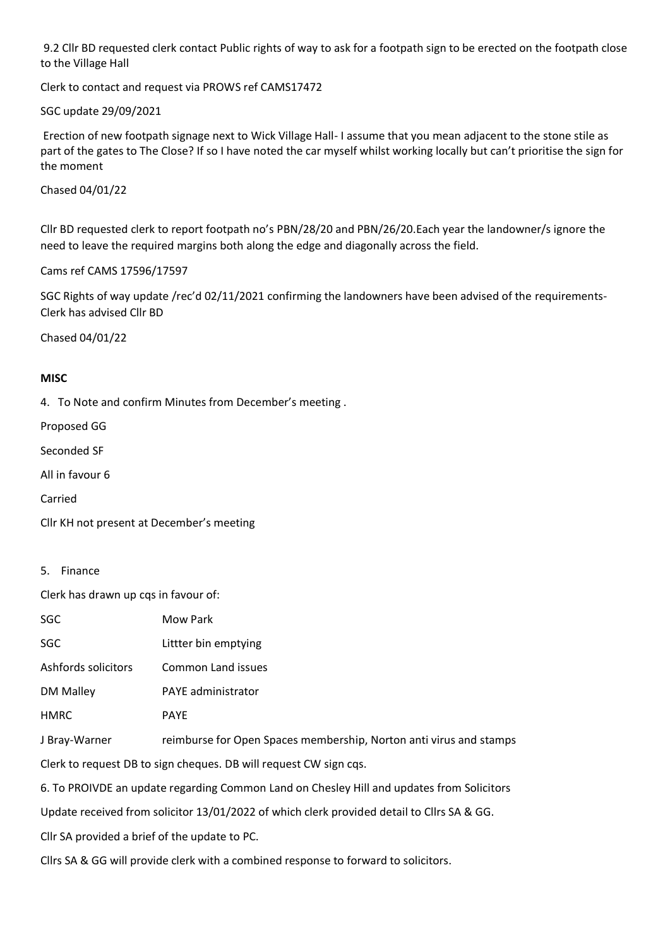9.2 Cllr BD requested clerk contact Public rights of way to ask for a footpath sign to be erected on the footpath close to the Village Hall

Clerk to contact and request via PROWS ref CAMS17472

SGC update 29/09/2021

Erection of new footpath signage next to Wick Village Hall- I assume that you mean adjacent to the stone stile as part of the gates to The Close? If so I have noted the car myself whilst working locally but can't prioritise the sign for the moment

Chased 04/01/22

Cllr BD requested clerk to report footpath no's PBN/28/20 and PBN/26/20.Each year the landowner/s ignore the need to leave the required margins both along the edge and diagonally across the field.

Cams ref CAMS 17596/17597

SGC Rights of way update /rec'd 02/11/2021 confirming the landowners have been advised of the requirements-Clerk has advised Cllr BD

Chased 04/01/22

### **MISC**

4. To Note and confirm Minutes from December's meeting .

Proposed GG

Seconded SF

All in favour 6

Carried

Cllr KH not present at December's meeting

#### 5. Finance

Clerk has drawn up cqs in favour of:

| SGC                                                                                        | Mow Park                                                           |
|--------------------------------------------------------------------------------------------|--------------------------------------------------------------------|
| SGC                                                                                        | Littter bin emptying                                               |
| Ashfords solicitors                                                                        | Common Land issues                                                 |
| DM Malley                                                                                  | PAYE administrator                                                 |
| HMRC                                                                                       | <b>PAYE</b>                                                        |
| J Bray-Warner                                                                              | reimburse for Open Spaces membership, Norton anti virus and stamps |
| Clerk to request DB to sign cheques. DB will request CW sign cqs.                          |                                                                    |
| 6. To PROIVDE an update regarding Common Land on Chesley Hill and updates from Solicitors  |                                                                    |
| Update received from solicitor 13/01/2022 of which clerk provided detail to Cllrs SA & GG. |                                                                    |
|                                                                                            |                                                                    |

Cllr SA provided a brief of the update to PC.

Cllrs SA & GG will provide clerk with a combined response to forward to solicitors.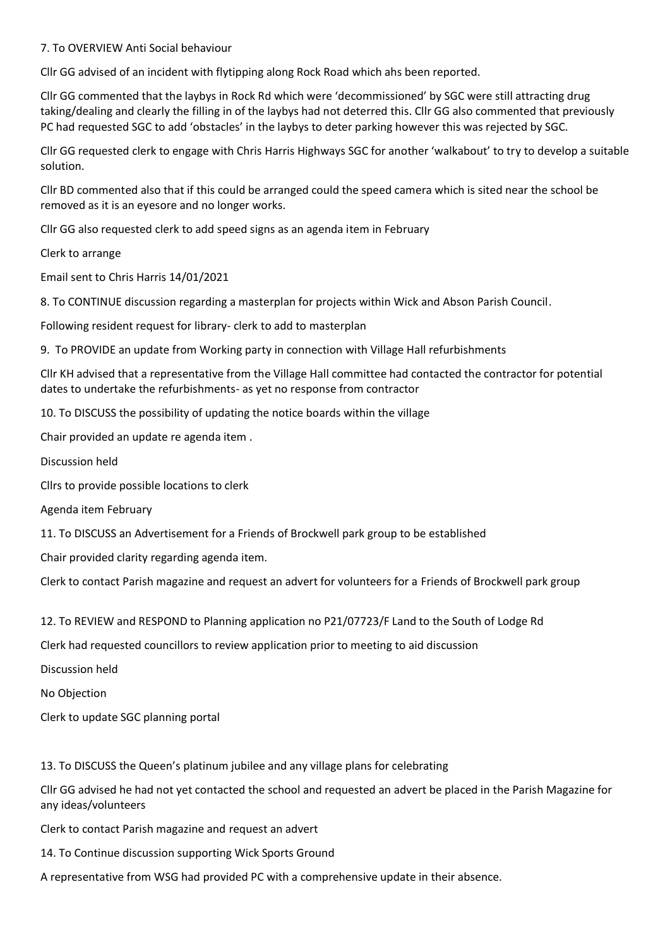### 7. To OVERVIEW Anti Social behaviour

Cllr GG advised of an incident with flytipping along Rock Road which ahs been reported.

Cllr GG commented that the laybys in Rock Rd which were 'decommissioned' by SGC were still attracting drug taking/dealing and clearly the filling in of the laybys had not deterred this. Cllr GG also commented that previously PC had requested SGC to add 'obstacles' in the laybys to deter parking however this was rejected by SGC.

Cllr GG requested clerk to engage with Chris Harris Highways SGC for another 'walkabout' to try to develop a suitable solution.

Cllr BD commented also that if this could be arranged could the speed camera which is sited near the school be removed as it is an eyesore and no longer works.

Cllr GG also requested clerk to add speed signs as an agenda item in February

Clerk to arrange

Email sent to Chris Harris 14/01/2021

8. To CONTINUE discussion regarding a masterplan for projects within Wick and Abson Parish Council.

Following resident request for library- clerk to add to masterplan

9. To PROVIDE an update from Working party in connection with Village Hall refurbishments

Cllr KH advised that a representative from the Village Hall committee had contacted the contractor for potential dates to undertake the refurbishments- as yet no response from contractor

10. To DISCUSS the possibility of updating the notice boards within the village

Chair provided an update re agenda item .

Discussion held

Cllrs to provide possible locations to clerk

Agenda item February

11. To DISCUSS an Advertisement for a Friends of Brockwell park group to be established

Chair provided clarity regarding agenda item.

Clerk to contact Parish magazine and request an advert for volunteers for a Friends of Brockwell park group

12. To REVIEW and RESPOND to Planning application no P21/07723/F Land to the South of Lodge Rd

Clerk had requested councillors to review application prior to meeting to aid discussion

Discussion held

No Objection

Clerk to update SGC planning portal

13. To DISCUSS the Queen's platinum jubilee and any village plans for celebrating

Cllr GG advised he had not yet contacted the school and requested an advert be placed in the Parish Magazine for any ideas/volunteers

Clerk to contact Parish magazine and request an advert

14. To Continue discussion supporting Wick Sports Ground

A representative from WSG had provided PC with a comprehensive update in their absence.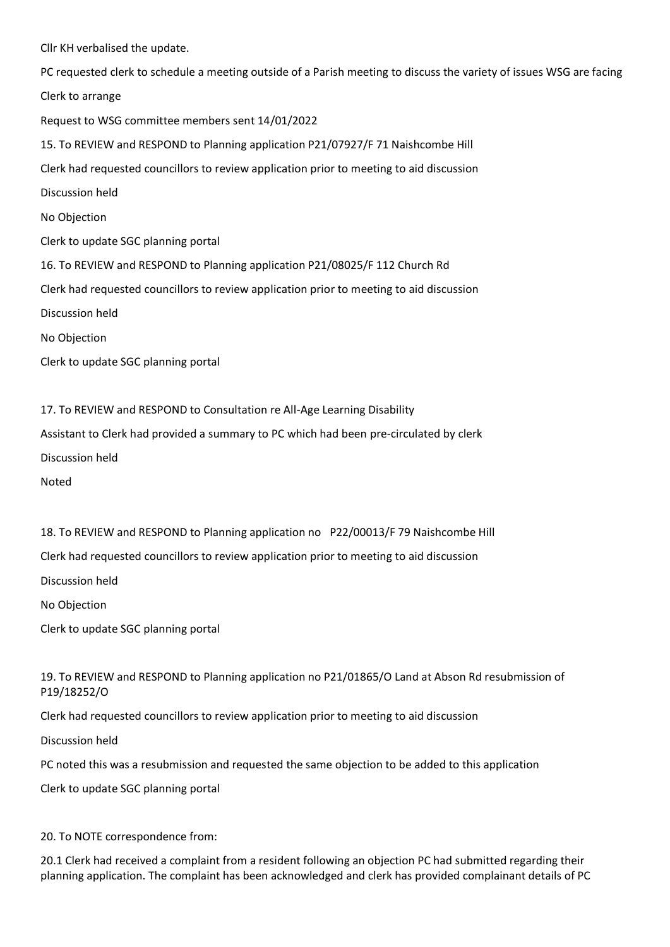Cllr KH verbalised the update.

PC requested clerk to schedule a meeting outside of a Parish meeting to discuss the variety of issues WSG are facing Clerk to arrange Request to WSG committee members sent 14/01/2022 15. To REVIEW and RESPOND to Planning application P21/07927/F 71 Naishcombe Hill Clerk had requested councillors to review application prior to meeting to aid discussion Discussion held No Objection Clerk to update SGC planning portal 16. To REVIEW and RESPOND to Planning application P21/08025/F 112 Church Rd Clerk had requested councillors to review application prior to meeting to aid discussion Discussion held No Objection Clerk to update SGC planning portal

17. To REVIEW and RESPOND to Consultation re All-Age Learning Disability

Assistant to Clerk had provided a summary to PC which had been pre-circulated by clerk

Discussion held

Noted

18. To REVIEW and RESPOND to Planning application no P22/00013/F 79 Naishcombe Hill Clerk had requested councillors to review application prior to meeting to aid discussion Discussion held

No Objection

Clerk to update SGC planning portal

19. To REVIEW and RESPOND to Planning application no P21/01865/O Land at Abson Rd resubmission of P19/18252/O

Clerk had requested councillors to review application prior to meeting to aid discussion

Discussion held

PC noted this was a resubmission and requested the same objection to be added to this application

Clerk to update SGC planning portal

20. To NOTE correspondence from:

20.1 Clerk had received a complaint from a resident following an objection PC had submitted regarding their planning application. The complaint has been acknowledged and clerk has provided complainant details of PC